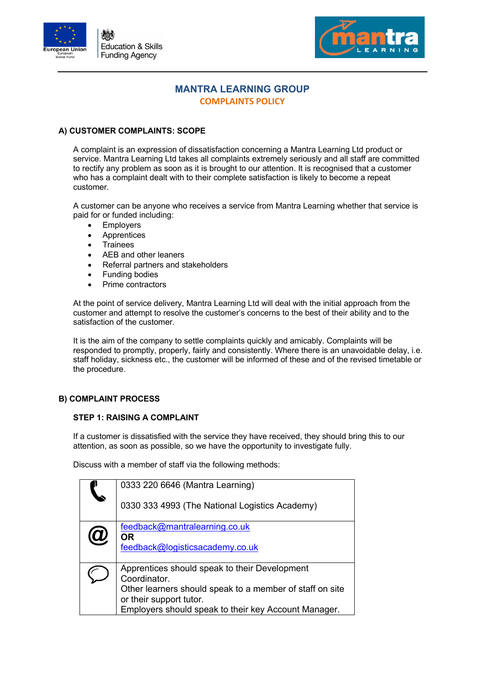



# **MANTRA LEARNING GROUP COMPLAINTS POLICY**

## **A) CUSTOMER COMPLAINTS: SCOPE**

A complaint is an expression of dissatisfaction concerning a Mantra Learning Ltd product or service. Mantra Learning Ltd takes all complaints extremely seriously and all staff are committed to rectify any problem as soon as it is brought to our attention. It is recognised that a customer who has a complaint dealt with to their complete satisfaction is likely to become a repeat customer.

A customer can be anyone who receives a service from Mantra Learning whether that service is paid for or funded including:

- **Employers**
- **Apprentices**
- **Trainees**
- AEB and other leaners
- Referral partners and stakeholders
- Funding bodies
- Prime contractors

At the point of service delivery, Mantra Learning Ltd will deal with the initial approach from the customer and attempt to resolve the customer's concerns to the best of their ability and to the satisfaction of the customer.

It is the aim of the company to settle complaints quickly and amicably. Complaints will be responded to promptly, properly, fairly and consistently. Where there is an unavoidable delay, i.e. staff holiday, sickness etc., the customer will be informed of these and of the revised timetable or the procedure.

#### **B) COMPLAINT PROCESS**

#### **STEP 1: RAISING A COMPLAINT**

If a customer is dissatisfied with the service they have received, they should bring this to our attention, as soon as possible, so we have the opportunity to investigate fully.

Discuss with a member of staff via the following methods:

| 0333 220 6646 (Mantra Learning)                                                 |
|---------------------------------------------------------------------------------|
| 0330 333 4993 (The National Logistics Academy)                                  |
| feedback@mantralearning.co.uk<br><b>OR</b>                                      |
| feedback@logisticsacademy.co.uk                                                 |
| Apprentices should speak to their Development<br>Coordinator.                   |
| Other learners should speak to a member of staff on site                        |
| or their support tutor.<br>Employers should speak to their key Account Manager. |
|                                                                                 |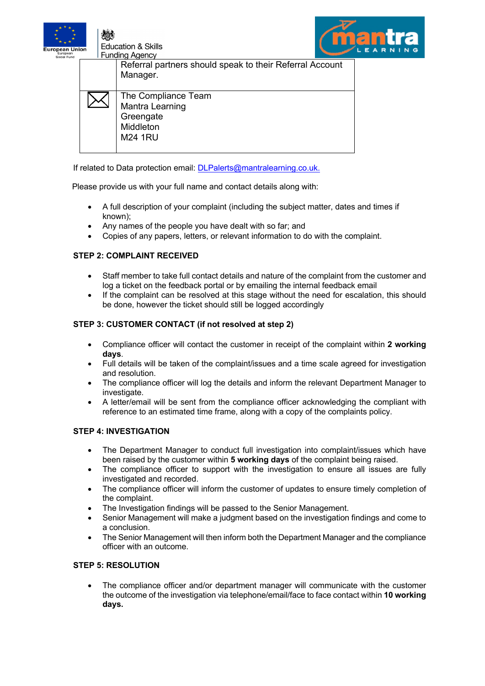

**Education & Skills Funding Agency** 



Referral partners should speak to their Referral Account Manager.

| The Compliance Team |
|---------------------|
| Mantra Learning     |
| Greengate           |
| Middleton           |
| <b>M24 1RU</b>      |
|                     |

If related to Data protection email: DLPalerts@mantralearning.co.uk.

Please provide us with your full name and contact details along with:

- A full description of your complaint (including the subject matter, dates and times if known);
- Any names of the people you have dealt with so far; and
- Copies of any papers, letters, or relevant information to do with the complaint.

## **STEP 2: COMPLAINT RECEIVED**

- Staff member to take full contact details and nature of the complaint from the customer and log a ticket on the feedback portal or by emailing the internal feedback email
- If the complaint can be resolved at this stage without the need for escalation, this should be done, however the ticket should still be logged accordingly

## **STEP 3: CUSTOMER CONTACT (if not resolved at step 2)**

- Compliance officer will contact the customer in receipt of the complaint within **2 working days**.
- Full details will be taken of the complaint/issues and a time scale agreed for investigation and resolution.
- The compliance officer will log the details and inform the relevant Department Manager to investigate.
- A letter/email will be sent from the compliance officer acknowledging the compliant with reference to an estimated time frame, along with a copy of the complaints policy.

#### **STEP 4: INVESTIGATION**

- The Department Manager to conduct full investigation into complaint/issues which have been raised by the customer within **5 working days** of the complaint being raised.
- The compliance officer to support with the investigation to ensure all issues are fully investigated and recorded.
- The compliance officer will inform the customer of updates to ensure timely completion of the complaint.
- The Investigation findings will be passed to the Senior Management.
- Senior Management will make a judgment based on the investigation findings and come to a conclusion.
- The Senior Management will then inform both the Department Manager and the compliance officer with an outcome.

### **STEP 5: RESOLUTION**

• The compliance officer and/or department manager will communicate with the customer the outcome of the investigation via telephone/email/face to face contact within **10 working days.**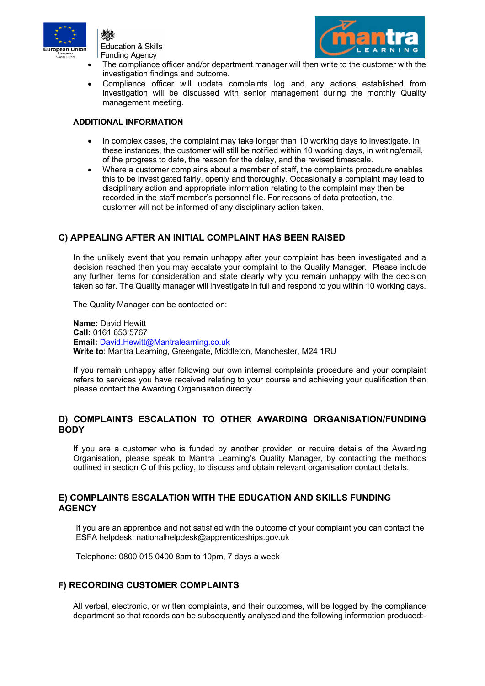





- The compliance officer and/or department manager will then write to the customer with the investigation findings and outcome.
- Compliance officer will update complaints log and any actions established from investigation will be discussed with senior management during the monthly Quality management meeting.

#### **ADDITIONAL INFORMATION**

- In complex cases, the complaint may take longer than 10 working days to investigate. In these instances, the customer will still be notified within 10 working days, in writing/email, of the progress to date, the reason for the delay, and the revised timescale.
- Where a customer complains about a member of staff, the complaints procedure enables this to be investigated fairly, openly and thoroughly. Occasionally a complaint may lead to disciplinary action and appropriate information relating to the complaint may then be recorded in the staff member's personnel file. For reasons of data protection, the customer will not be informed of any disciplinary action taken.

# **C) APPEALING AFTER AN INITIAL COMPLAINT HAS BEEN RAISED**

In the unlikely event that you remain unhappy after your complaint has been investigated and a decision reached then you may escalate your complaint to the Quality Manager. Please include any further items for consideration and state clearly why you remain unhappy with the decision taken so far. The Quality manager will investigate in full and respond to you within 10 working days.

The Quality Manager can be contacted on:

**Name:** David Hewitt **Call:** 0161 653 5767 **Email:** David.Hewitt@Mantralearning.co.uk **Write to**: Mantra Learning, Greengate, Middleton, Manchester, M24 1RU

If you remain unhappy after following our own internal complaints procedure and your complaint refers to services you have received relating to your course and achieving your qualification then please contact the Awarding Organisation directly.

## **D) COMPLAINTS ESCALATION TO OTHER AWARDING ORGANISATION/FUNDING BODY**

If you are a customer who is funded by another provider, or require details of the Awarding Organisation, please speak to Mantra Learning's Quality Manager, by contacting the methods outlined in section C of this policy, to discuss and obtain relevant organisation contact details.

## **E) COMPLAINTS ESCALATION WITH THE EDUCATION AND SKILLS FUNDING AGENCY**

If you are an apprentice and not satisfied with the outcome of your complaint you can contact the ESFA helpdesk: nationalhelpdesk@apprenticeships.gov.uk

Telephone: 0800 015 0400 8am to 10pm, 7 days a week

## **F) RECORDING CUSTOMER COMPLAINTS**

All verbal, electronic, or written complaints, and their outcomes, will be logged by the compliance department so that records can be subsequently analysed and the following information produced:-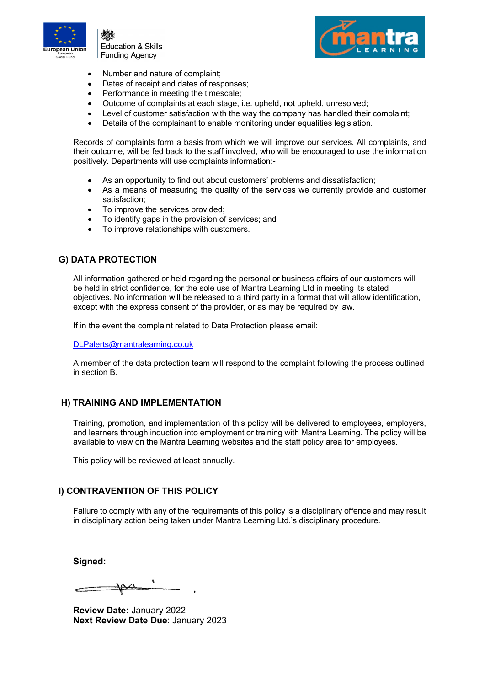

**Education & Skills** Funding Agency



- Number and nature of complaint;
- Dates of receipt and dates of responses;
- Performance in meeting the timescale;
- Outcome of complaints at each stage, i.e. upheld, not upheld, unresolved;
- Level of customer satisfaction with the way the company has handled their complaint;
- Details of the complainant to enable monitoring under equalities legislation.

Records of complaints form a basis from which we will improve our services. All complaints, and their outcome, will be fed back to the staff involved, who will be encouraged to use the information positively. Departments will use complaints information:-

- As an opportunity to find out about customers' problems and dissatisfaction;
- As a means of measuring the quality of the services we currently provide and customer satisfaction;
- To improve the services provided;
- To identify gaps in the provision of services; and
- To improve relationships with customers.

## **G) DATA PROTECTION**

All information gathered or held regarding the personal or business affairs of our customers will be held in strict confidence, for the sole use of Mantra Learning Ltd in meeting its stated objectives. No information will be released to a third party in a format that will allow identification, except with the express consent of the provider, or as may be required by law.

If in the event the complaint related to Data Protection please email:

DLPalerts@mantralearning.co.uk

A member of the data protection team will respond to the complaint following the process outlined in section B.

#### **H) TRAINING AND IMPLEMENTATION**

Training, promotion, and implementation of this policy will be delivered to employees, employers, and learners through induction into employment or training with Mantra Learning. The policy will be available to view on the Mantra Learning websites and the staff policy area for employees.

This policy will be reviewed at least annually.

## **I) CONTRAVENTION OF THIS POLICY**

Failure to comply with any of the requirements of this policy is a disciplinary offence and may result in disciplinary action being taken under Mantra Learning Ltd.'s disciplinary procedure.

**Signed:**

**Review Date:** January 2022 **Next Review Date Due**: January 2023